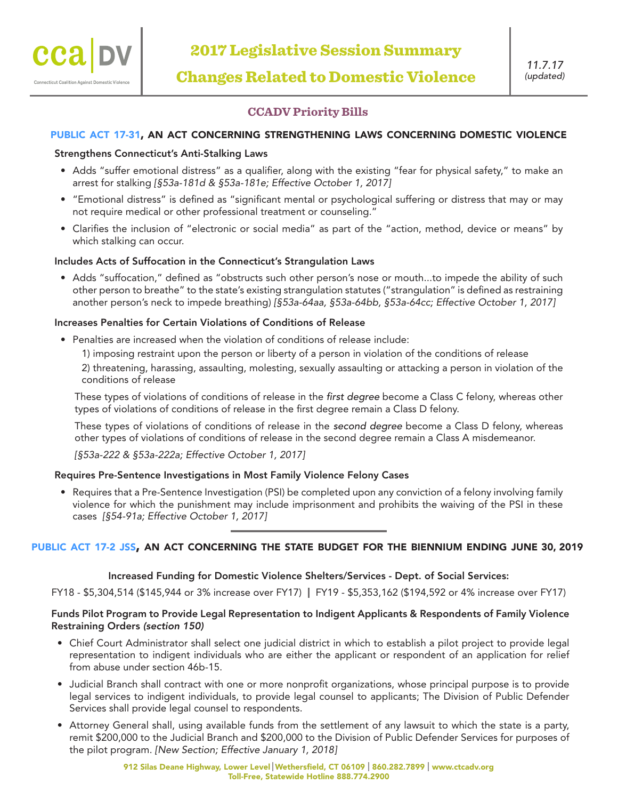# **CCADV Priority Bills**

# public act 17-31, an act concerning strengthening laws concerning domestic violence

## Strengthens Connecticut's Anti-Stalking Laws

- Adds "suffer emotional distress" as a qualifier, along with the existing "fear for physical safety," to make an arrest for stalking *[§53a-181d & §53a-181e; Effective October 1, 2017]*
- "Emotional distress" is defined as "significant mental or psychological suffering or distress that may or may not require medical or other professional treatment or counseling."
- Clarifies the inclusion of "electronic or social media" as part of the "action, method, device or means" by which stalking can occur.

## Includes Acts of Suffocation in the Connecticut's Strangulation Laws

• Adds "suffocation," defined as "obstructs such other person's nose or mouth...to impede the ability of such other person to breathe" to the state's existing strangulation statutes ("strangulation" is defined as restraining another person's neck to impede breathing) *[§53a-64aa, §53a-64bb, §53a-64cc; Effective October 1, 2017]*

## Increases Penalties for Certain Violations of Conditions of Release

- Penalties are increased when the violation of conditions of release include:
	- 1) imposing restraint upon the person or liberty of a person in violation of the conditions of release

2) threatening, harassing, assaulting, molesting, sexually assaulting or attacking a person in violation of the conditions of release

These types of violations of conditions of release in the *first degree* become a Class C felony, whereas other types of violations of conditions of release in the first degree remain a Class D felony.

These types of violations of conditions of release in the *second degree* become a Class D felony, whereas other types of violations of conditions of release in the second degree remain a Class A misdemeanor.

*[§53a-222 & §53a-222a; Effective October 1, 2017]*

#### Requires Pre-Sentence Investigations in Most Family Violence Felony Cases

• Requires that a Pre-Sentence Investigation (PSI) be completed upon any conviction of a felony involving family violence for which the punishment may include imprisonment and prohibits the waiving of the PSI in these cases *[§54-91a; Effective October 1, 2017]*

# public act 17-2 jss, an act concerning the state budget for the biennium ending june 30, 2019

#### Increased Funding for Domestic Violence Shelters/Services - Dept. of Social Services:

FY18 - \$5,304,514 (\$145,944 or 3% increase over FY17) FY19 - \$5,353,162 (\$194,592 or 4% increase over FY17)

## Funds Pilot Program to Provide Legal Representation to Indigent Applicants & Respondents of Family Violence Restraining Orders *(section 150)*

- Chief Court Administrator shall select one judicial district in which to establish a pilot project to provide legal representation to indigent individuals who are either the applicant or respondent of an application for relief from abuse under section 46b-15.
- Judicial Branch shall contract with one or more nonprofit organizations, whose principal purpose is to provide legal services to indigent individuals, to provide legal counsel to applicants; The Division of Public Defender Services shall provide legal counsel to respondents.
- Attorney General shall, using available funds from the settlement of any lawsuit to which the state is a party, remit \$200,000 to the Judicial Branch and \$200,000 to the Division of Public Defender Services for purposes of the pilot program. *[New Section; Effective January 1, 2018]*